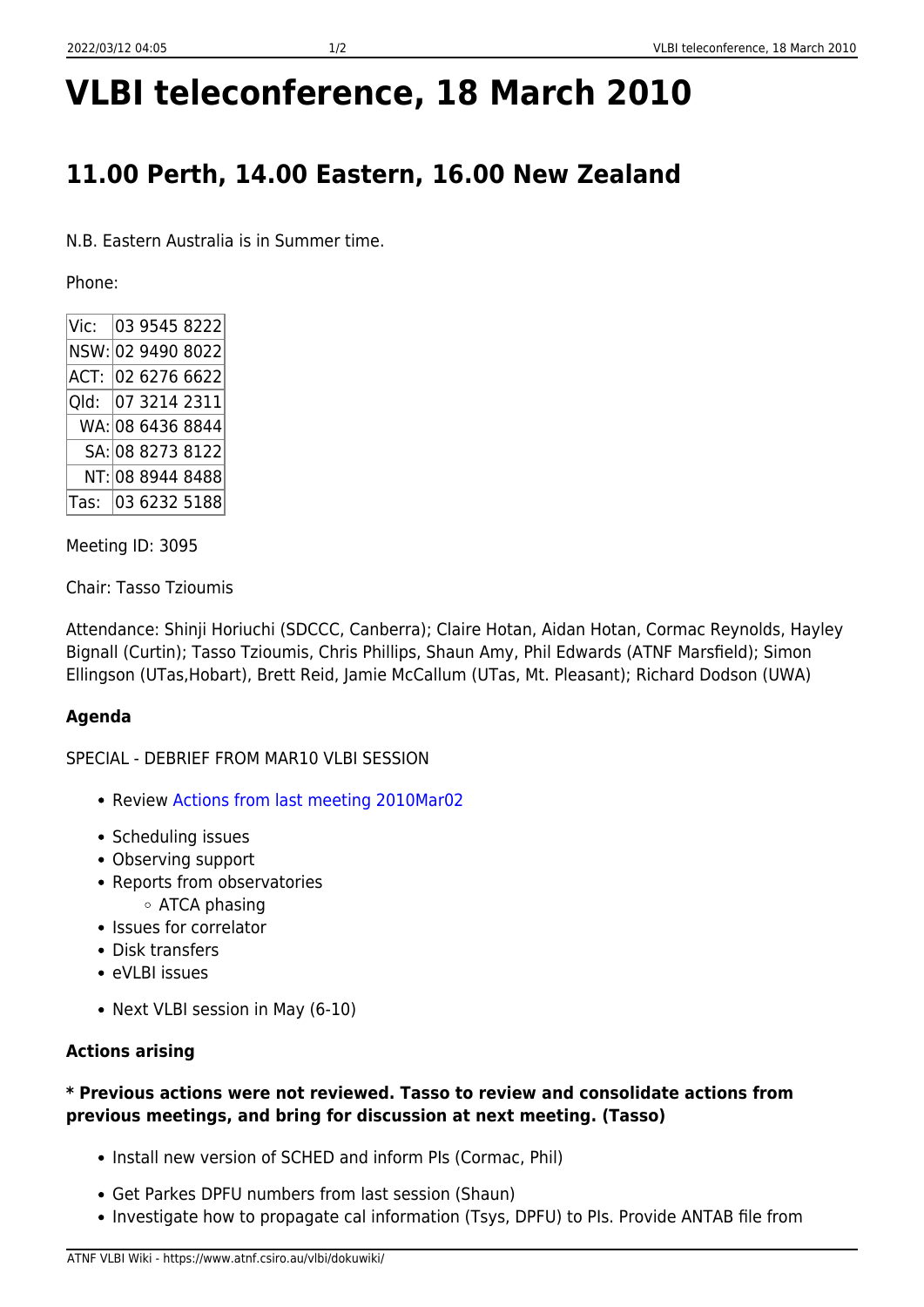# **VLBI teleconference, 18 March 2010**

# **11.00 Perth, 14.00 Eastern, 16.00 New Zealand**

N.B. Eastern Australia is in Summer time.

Phone:

| Vic:              |  | 03 9545 8222      |
|-------------------|--|-------------------|
| NSW: 02 9490 8022 |  |                   |
|                   |  | ACT: 02 6276 6622 |
|                   |  | Qld: 07 3214 2311 |
|                   |  | WA: 08 6436 8844  |
|                   |  | SA: 08 8273 8122  |
|                   |  | NT: 08 8944 8488  |
|                   |  | Tas: 03 6232 5188 |

Meeting ID: 3095

Chair: Tasso Tzioumis

Attendance: Shinji Horiuchi (SDCCC, Canberra); Claire Hotan, Aidan Hotan, Cormac Reynolds, Hayley Bignall (Curtin); Tasso Tzioumis, Chris Phillips, Shaun Amy, Phil Edwards (ATNF Marsfield); Simon Ellingson (UTas,Hobart), Brett Reid, Jamie McCallum (UTas, Mt. Pleasant); Richard Dodson (UWA)

#### **Agenda**

SPECIAL - DEBRIEF FROM MAR10 VLBI SESSION

- Review [Actions from last meeting 2010Mar02](https://www.atnf.csiro.au/vlbi/dokuwiki/doku.php/lbaops/telecon2010mar02)
- Scheduling issues
- Observing support
- Reports from observatories
	- ATCA phasing
- Issues for correlator
- Disk transfers
- eVLBI issues
- Next VLBI session in May (6-10)

## **Actions arising**

### **\* Previous actions were not reviewed. Tasso to review and consolidate actions from previous meetings, and bring for discussion at next meeting. (Tasso)**

- Install new version of SCHED and inform PIs (Cormac, Phil)
- Get Parkes DPFU numbers from last session (Shaun)
- Investigate how to propagate cal information (Tsys, DPFU) to PIs. Provide ANTAB file from